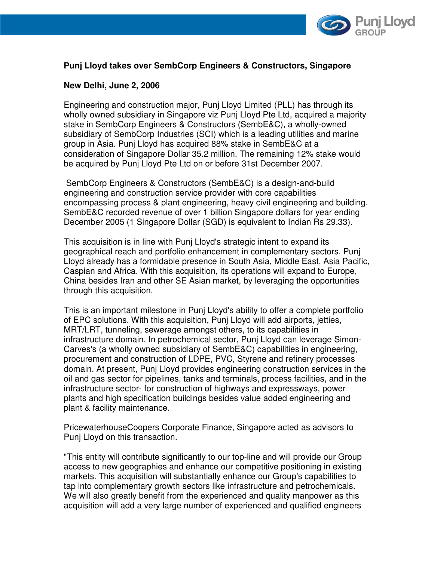

## **Punj Lloyd takes over SembCorp Engineers & Constructors, Singapore**

#### **New Delhi, June 2, 2006**

Engineering and construction major, Punj Lloyd Limited (PLL) has through its wholly owned subsidiary in Singapore viz Punj Lloyd Pte Ltd, acquired a majority stake in SembCorp Engineers & Constructors (SembE&C), a wholly-owned subsidiary of SembCorp Industries (SCI) which is a leading utilities and marine group in Asia. Punj Lloyd has acquired 88% stake in SembE&C at a consideration of Singapore Dollar 35.2 million. The remaining 12% stake would be acquired by Punj Lloyd Pte Ltd on or before 31st December 2007.

 SembCorp Engineers & Constructors (SembE&C) is a design-and-build engineering and construction service provider with core capabilities encompassing process & plant engineering, heavy civil engineering and building. SembE&C recorded revenue of over 1 billion Singapore dollars for year ending December 2005 (1 Singapore Dollar (SGD) is equivalent to Indian Rs 29.33).

This acquisition is in line with Punj Lloyd's strategic intent to expand its geographical reach and portfolio enhancement in complementary sectors. Punj Lloyd already has a formidable presence in South Asia, Middle East, Asia Pacific, Caspian and Africa. With this acquisition, its operations will expand to Europe, China besides Iran and other SE Asian market, by leveraging the opportunities through this acquisition.

This is an important milestone in Punj Lloyd's ability to offer a complete portfolio of EPC solutions. With this acquisition, Punj Lloyd will add airports, jetties, MRT/LRT, tunneling, sewerage amongst others, to its capabilities in infrastructure domain. In petrochemical sector, Punj Lloyd can leverage Simon-Carves's (a wholly owned subsidiary of SembE&C) capabilities in engineering, procurement and construction of LDPE, PVC, Styrene and refinery processes domain. At present, Punj Lloyd provides engineering construction services in the oil and gas sector for pipelines, tanks and terminals, process facilities, and in the infrastructure sector- for construction of highways and expressways, power plants and high specification buildings besides value added engineering and plant & facility maintenance.

PricewaterhouseCoopers Corporate Finance, Singapore acted as advisors to Punj Lloyd on this transaction.

"This entity will contribute significantly to our top-line and will provide our Group access to new geographies and enhance our competitive positioning in existing markets. This acquisition will substantially enhance our Group's capabilities to tap into complementary growth sectors like infrastructure and petrochemicals. We will also greatly benefit from the experienced and quality manpower as this acquisition will add a very large number of experienced and qualified engineers